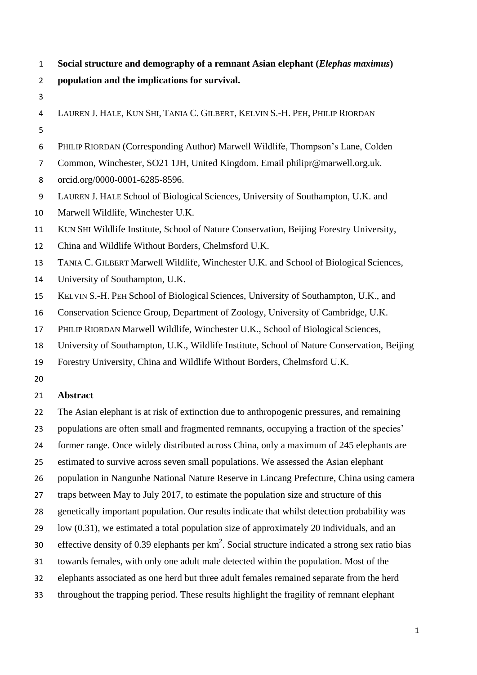- **Social structure and demography of a remnant Asian elephant (***Elephas maximus***)**
- **population and the implications for survival.**
- 
- LAUREN J. HALE, KUN SHI, TANIA C. GILBERT, KELVIN S.-H. PEH, PHILIP RIORDAN
- PHILIP RIORDAN (Corresponding Author) Marwell Wildlife, Thompson's Lane, Colden
- Common, Winchester, SO21 1JH, United Kingdom. Email philipr@marwell.org.uk.
- orcid.org/0000-0001-6285-8596.
- LAUREN J. HALE School of Biological Sciences, University of Southampton, U.K. and
- Marwell Wildlife, Winchester U.K.
- KUN SHI Wildlife Institute, School of Nature Conservation, Beijing Forestry University,
- China and Wildlife Without Borders, Chelmsford U.K.

TANIA C. GILBERT Marwell Wildlife, Winchester U.K. and School of Biological Sciences,

- University of Southampton, U.K.
- KELVIN S.-H. PEH School of Biological Sciences, University of Southampton, U.K., and
- Conservation Science Group, Department of Zoology, University of Cambridge, U.K.
- PHILIP RIORDAN Marwell Wildlife, Winchester U.K., School of Biological Sciences,
- University of Southampton, U.K., Wildlife Institute, School of Nature Conservation, Beijing
- Forestry University, China and Wildlife Without Borders, Chelmsford U.K.
- 

# **Abstract**

The Asian elephant is at risk of extinction due to anthropogenic pressures, and remaining

- populations are often small and fragmented remnants, occupying a fraction of the species'
- former range. Once widely distributed across China, only a maximum of 245 elephants are
- estimated to survive across seven small populations. We assessed the Asian elephant
- population in Nangunhe National Nature Reserve in Lincang Prefecture, China using camera
- traps between May to July 2017, to estimate the population size and structure of this
- genetically important population. Our results indicate that whilst detection probability was
- low (0.31), we estimated a total population size of approximately 20 individuals, and an
- 30 effective density of 0.39 elephants per  $km^2$ . Social structure indicated a strong sex ratio bias
- towards females, with only one adult male detected within the population. Most of the
- elephants associated as one herd but three adult females remained separate from the herd
- throughout the trapping period. These results highlight the fragility of remnant elephant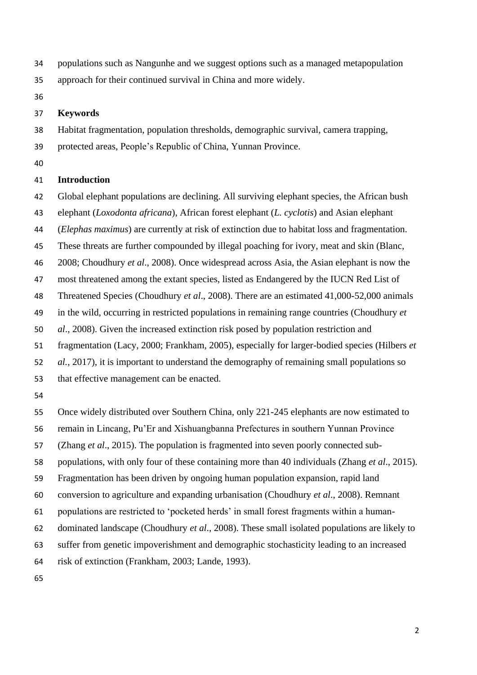- populations such as Nangunhe and we suggest options such as a managed metapopulation
- approach for their continued survival in China and more widely.
- 

### **Keywords**

Habitat fragmentation, population thresholds, demographic survival, camera trapping,

- protected areas, People's Republic of China, Yunnan Province.
- 

## **Introduction**

- Global elephant populations are declining. All surviving elephant species, the African bush
- elephant (*Loxodonta africana*), African forest elephant (*L. cyclotis*) and Asian elephant
- (*Elephas maximus*) are currently at risk of extinction due to habitat loss and fragmentation.
- These threats are further compounded by illegal poaching for ivory, meat and skin (Blanc,
- 2008; Choudhury *et al*., 2008). Once widespread across Asia, the Asian elephant is now the
- most threatened among the extant species, listed as Endangered by the IUCN Red List of

Threatened Species (Choudhury *et al*., 2008). There are an estimated 41,000-52,000 animals

- in the wild, occurring in restricted populations in remaining range countries (Choudhury *et*
- *al*., 2008). Given the increased extinction risk posed by population restriction and
- fragmentation (Lacy, 2000; Frankham, 2005), especially for larger-bodied species (Hilbers *et*
- *al.*, 2017), it is important to understand the demography of remaining small populations so
- that effective management can be enacted.
- 

Once widely distributed over Southern China, only 221-245 elephants are now estimated to

- remain in Lincang, Pu'Er and Xishuangbanna Prefectures in southern Yunnan Province
- (Zhang *et al*., 2015). The population is fragmented into seven poorly connected sub-
- populations, with only four of these containing more than 40 individuals (Zhang *et al*., 2015).
- Fragmentation has been driven by ongoing human population expansion, rapid land
- conversion to agriculture and expanding urbanisation (Choudhury *et al*., 2008). Remnant
- populations are restricted to 'pocketed herds' in small forest fragments within a human-
- dominated landscape (Choudhury *et al*., 2008). These small isolated populations are likely to
- suffer from genetic impoverishment and demographic stochasticity leading to an increased

risk of extinction (Frankham, 2003; Lande, 1993).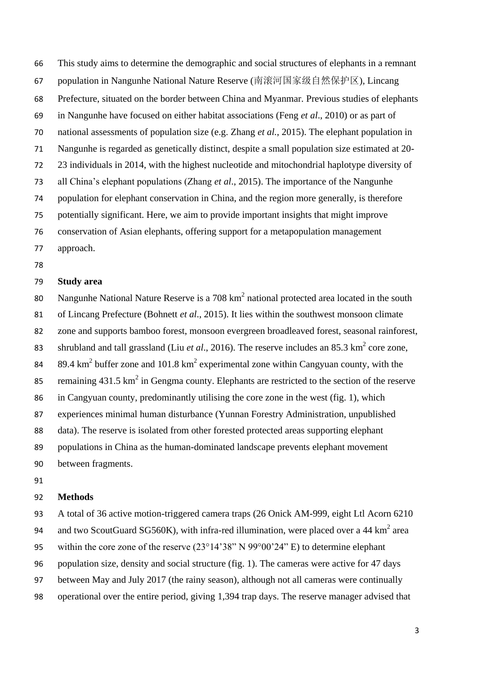This study aims to determine the demographic and social structures of elephants in a remnant 67 population in Nangunhe National Nature Reserve (南滚河国家级自然保护区), Lincang Prefecture, situated on the border between China and Myanmar. Previous studies of elephants in Nangunhe have focused on either habitat associations (Feng *et al*., 2010) or as part of national assessments of population size (e.g. Zhang *et al.*, 2015). The elephant population in Nangunhe is regarded as genetically distinct, despite a small population size estimated at 20- 23 individuals in 2014, with the highest nucleotide and mitochondrial haplotype diversity of all China's elephant populations (Zhang *et al*., 2015). The importance of the Nangunhe population for elephant conservation in China, and the region more generally, is therefore potentially significant. Here, we aim to provide important insights that might improve conservation of Asian elephants, offering support for a metapopulation management

- approach.
- 

## **Study area**

80 Nangunhe National Nature Reserve is a 708  $km^2$  national protected area located in the south of Lincang Prefecture (Bohnett *et al*., 2015). It lies within the southwest monsoon climate

zone and supports bamboo forest, monsoon evergreen broadleaved forest, seasonal rainforest,

83 shrubland and tall grassland (Liu *et al.*, 2016). The reserve includes an 85.3  $\text{km}^2$  core zone,

84 89.4  $\text{km}^2$  buffer zone and 101.8  $\text{km}^2$  experimental zone within Cangyuan county, with the

85 remaining 431.5 km<sup>2</sup> in Gengma county. Elephants are restricted to the section of the reserve

in Cangyuan county, predominantly utilising the core zone in the west (fig. 1), which

experiences minimal human disturbance (Yunnan Forestry Administration, unpublished

data). The reserve is isolated from other forested protected areas supporting elephant

populations in China as the human-dominated landscape prevents elephant movement

between fragments.

#### **Methods**

 A total of 36 active motion-triggered camera traps (26 Onick AM-999, eight Ltl Acorn 6210 94 and two ScoutGuard SG560K), with infra-red illumination, were placed over a 44 km<sup>2</sup> area within the core zone of the reserve (23°14'38" N 99°00'24" E) to determine elephant population size, density and social structure (fig. 1). The cameras were active for 47 days between May and July 2017 (the rainy season), although not all cameras were continually operational over the entire period, giving 1,394 trap days. The reserve manager advised that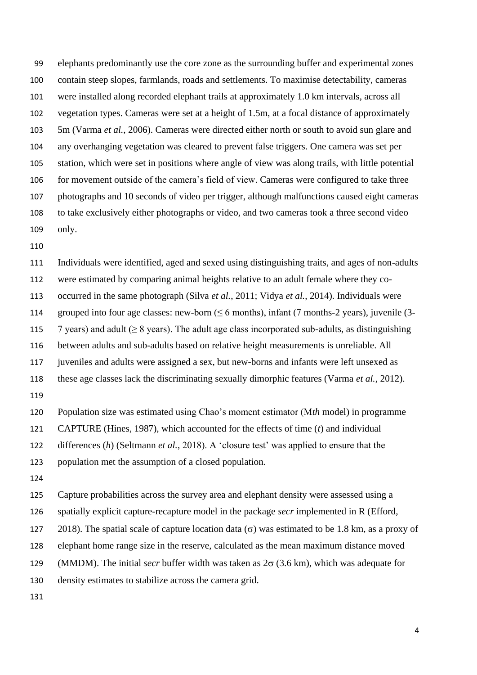elephants predominantly use the core zone as the surrounding buffer and experimental zones contain steep slopes, farmlands, roads and settlements. To maximise detectability, cameras were installed along recorded elephant trails at approximately 1.0 km intervals, across all vegetation types. Cameras were set at a height of 1.5m, at a focal distance of approximately 5m (Varma *et al.*, 2006). Cameras were directed either north or south to avoid sun glare and any overhanging vegetation was cleared to prevent false triggers. One camera was set per station, which were set in positions where angle of view was along trails, with little potential 106 for movement outside of the camera's field of view. Cameras were configured to take three photographs and 10 seconds of video per trigger, although malfunctions caused eight cameras to take exclusively either photographs or video, and two cameras took a three second video only.

 Individuals were identified, aged and sexed using distinguishing traits, and ages of non-adults were estimated by comparing animal heights relative to an adult female where they co- occurred in the same photograph (Silva *et al.*, 2011; Vidya *et al.*, 2014). Individuals were 114 grouped into four age classes: new-born ( $\leq 6$  months), infant (7 months-2 years), juvenile (3-115 7 years) and adult ( $\geq 8$  years). The adult age class incorporated sub-adults, as distinguishing between adults and sub-adults based on relative height measurements is unreliable. All juveniles and adults were assigned a sex, but new-borns and infants were left unsexed as these age classes lack the discriminating sexually dimorphic features (Varma *et al.*, 2012). Population size was estimated using Chao's moment estimator (M*th* model) in programme CAPTURE (Hines, 1987), which accounted for the effects of time (*t*) and individual

differences (*h*) (Seltmann *et al.*, 2018). A 'closure test' was applied to ensure that the

population met the assumption of a closed population.

 Capture probabilities across the survey area and elephant density were assessed using a spatially explicit capture-recapture model in the package *secr* implemented in R (Efford, 127 2018). The spatial scale of capture location data ( $\sigma$ ) was estimated to be 1.8 km, as a proxy of elephant home range size in the reserve, calculated as the mean maximum distance moved 129 (MMDM). The initial *secr* buffer width was taken as  $2\sigma$  (3.6 km), which was adequate for density estimates to stabilize across the camera grid.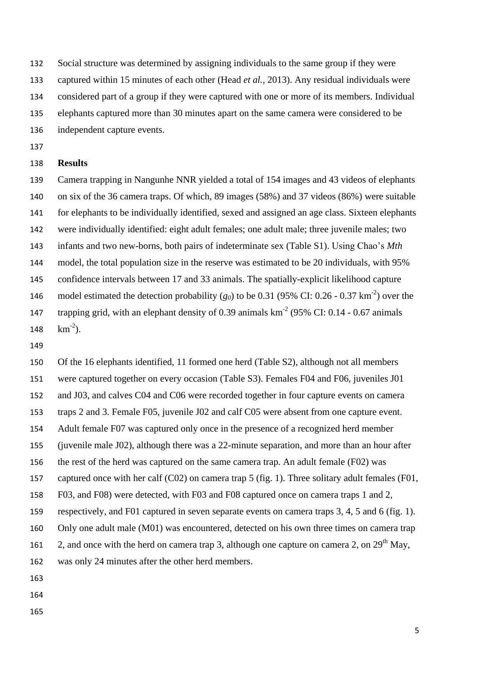Social structure was determined by assigning individuals to the same group if they were

captured within 15 minutes of each other (Head *et al.*, 2013). Any residual individuals were

considered part of a group if they were captured with one or more of its members. Individual

elephants captured more than 30 minutes apart on the same camera were considered to be

independent capture events.

## **Results**

 Camera trapping in Nangunhe NNR yielded a total of 154 images and 43 videos of elephants on six of the 36 camera traps. Of which, 89 images (58%) and 37 videos (86%) were suitable for elephants to be individually identified, sexed and assigned an age class. Sixteen elephants were individually identified: eight adult females; one adult male; three juvenile males; two infants and two new-borns, both pairs of indeterminate sex (Table S1). Using Chao's *Mth* model, the total population size in the reserve was estimated to be 20 individuals, with 95% confidence intervals between 17 and 33 animals. The spatially-explicit likelihood capture 146 model estimated the detection probability  $(g_0)$  to be 0.31 (95% CI: 0.26 - 0.37 km<sup>-2</sup>) over the 147 trapping grid, with an elephant density of 0.39 animals  $km<sup>-2</sup>$  (95% CI: 0.14 - 0.67 animals  $km^{-2}$ ).

 Of the 16 elephants identified, 11 formed one herd (Table S2), although not all members were captured together on every occasion (Table S3). Females F04 and F06, juveniles J01 and J03, and calves C04 and C06 were recorded together in four capture events on camera traps 2 and 3. Female F05, juvenile J02 and calf C05 were absent from one capture event. Adult female F07 was captured only once in the presence of a recognized herd member (juvenile male J02), although there was a 22-minute separation, and more than an hour after the rest of the herd was captured on the same camera trap. An adult female (F02) was captured once with her calf (C02) on camera trap 5 (fig. 1). Three solitary adult females (F01, F03, and F08) were detected, with F03 and F08 captured once on camera traps 1 and 2, respectively, and F01 captured in seven separate events on camera traps 3, 4, 5 and 6 (fig. 1). 160 Only one adult male (M01) was encountered, detected on his own three times on camera trap 2, and once with the herd on camera trap 3, although one capture on camera 2, on  $29<sup>th</sup>$  May, was only 24 minutes after the other herd members. 

- 
-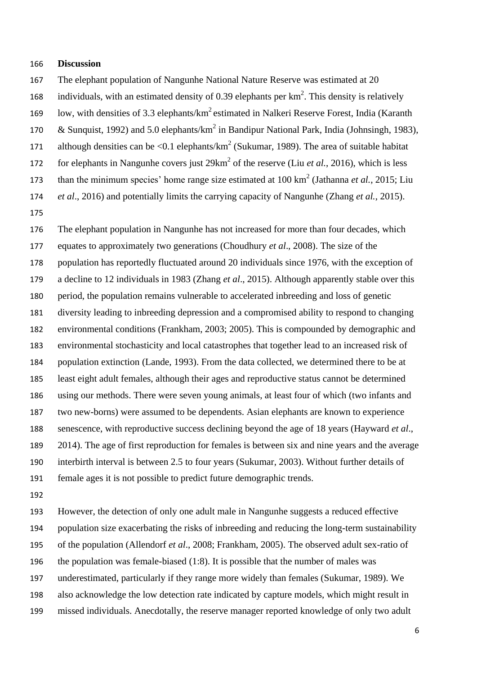#### **Discussion**

- The elephant population of Nangunhe National Nature Reserve was estimated at 20
- 168 individuals, with an estimated density of 0.39 elephants per  $km^2$ . This density is relatively
- 169 low, with densities of 3.3 elephants/km<sup>2</sup> estimated in Nalkeri Reserve Forest, India (Karanth
- 170 & Sunquist, 1992) and 5.0 elephants/km<sup>2</sup> in Bandipur National Park, India (Johnsingh, 1983),
- 171 although densities can be <0.1 elephants/km<sup>2</sup> (Sukumar, 1989). The area of suitable habitat
- 172 for elephants in Nangunhe covers just 29km<sup>2</sup> of the reserve (Liu *et al.*, 2016), which is less
- 173 than the minimum species' home range size estimated at  $100 \text{ km}^2$  (Jathanna *et al.*, 2015; Liu
- *et al*., 2016) and potentially limits the carrying capacity of Nangunhe (Zhang *et al.*, 2015).
- 

 The elephant population in Nangunhe has not increased for more than four decades, which equates to approximately two generations (Choudhury *et al*., 2008). The size of the population has reportedly fluctuated around 20 individuals since 1976, with the exception of a decline to 12 individuals in 1983 (Zhang *et al*., 2015). Although apparently stable over this period, the population remains vulnerable to accelerated inbreeding and loss of genetic diversity leading to inbreeding depression and a compromised ability to respond to changing environmental conditions (Frankham, 2003; 2005). This is compounded by demographic and environmental stochasticity and local catastrophes that together lead to an increased risk of population extinction (Lande, 1993). From the data collected, we determined there to be at least eight adult females, although their ages and reproductive status cannot be determined using our methods. There were seven young animals, at least four of which (two infants and two new-borns) were assumed to be dependents. Asian elephants are known to experience senescence, with reproductive success declining beyond the age of 18 years (Hayward *et al*., 2014). The age of first reproduction for females is between six and nine years and the average interbirth interval is between 2.5 to four years (Sukumar, 2003). Without further details of female ages it is not possible to predict future demographic trends.

 However, the detection of only one adult male in Nangunhe suggests a reduced effective population size exacerbating the risks of inbreeding and reducing the long-term sustainability of the population (Allendorf *et al*., 2008; Frankham, 2005). The observed adult sex-ratio of the population was female-biased (1:8). It is possible that the number of males was underestimated, particularly if they range more widely than females (Sukumar, 1989). We also acknowledge the low detection rate indicated by capture models, which might result in missed individuals. Anecdotally, the reserve manager reported knowledge of only two adult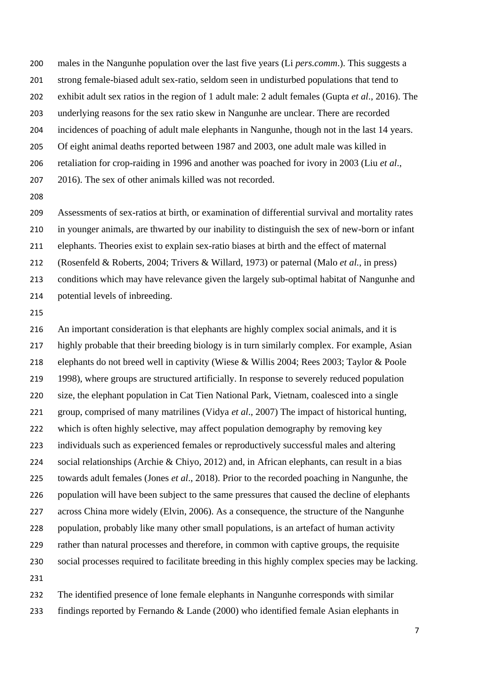- males in the Nangunhe population over the last five years (Li *pers.comm*.). This suggests a strong female-biased adult sex-ratio, seldom seen in undisturbed populations that tend to exhibit adult sex ratios in the region of 1 adult male: 2 adult females (Gupta *et al*., 2016). The underlying reasons for the sex ratio skew in Nangunhe are unclear. There are recorded incidences of poaching of adult male elephants in Nangunhe, though not in the last 14 years. Of eight animal deaths reported between 1987 and 2003, one adult male was killed in retaliation for crop-raiding in 1996 and another was poached for ivory in 2003 (Liu *et al*., 2016). The sex of other animals killed was not recorded.
- 

 Assessments of sex-ratios at birth, or examination of differential survival and mortality rates in younger animals, are thwarted by our inability to distinguish the sex of new-born or infant elephants. Theories exist to explain sex-ratio biases at birth and the effect of maternal (Rosenfeld & Roberts, 2004; Trivers & Willard, 1973) or paternal (Malo *et al.*, in press) conditions which may have relevance given the largely sub-optimal habitat of Nangunhe and potential levels of inbreeding.

 An important consideration is that elephants are highly complex social animals, and it is highly probable that their breeding biology is in turn similarly complex. For example, Asian elephants do not breed well in captivity (Wiese & Willis 2004; Rees 2003; Taylor & Poole 1998), where groups are structured artificially. In response to severely reduced population size, the elephant population in Cat Tien National Park, Vietnam, coalesced into a single group, comprised of many matrilines (Vidya *et al*., 2007) The impact of historical hunting, which is often highly selective, may affect population demography by removing key individuals such as experienced females or reproductively successful males and altering social relationships (Archie & Chiyo, 2012) and, in African elephants, can result in a bias towards adult females (Jones *et al*., 2018). Prior to the recorded poaching in Nangunhe, the population will have been subject to the same pressures that caused the decline of elephants across China more widely (Elvin, 2006). As a consequence, the structure of the Nangunhe population, probably like many other small populations, is an artefact of human activity rather than natural processes and therefore, in common with captive groups, the requisite social processes required to facilitate breeding in this highly complex species may be lacking. 

 The identified presence of lone female elephants in Nangunhe corresponds with similar findings reported by Fernando & Lande (2000) who identified female Asian elephants in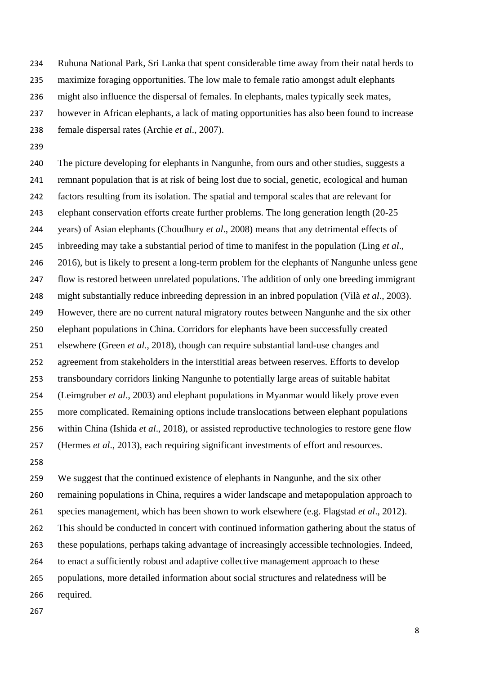Ruhuna National Park, Sri Lanka that spent considerable time away from their natal herds to

maximize foraging opportunities. The low male to female ratio amongst adult elephants

- might also influence the dispersal of females. In elephants, males typically seek mates,
- however in African elephants, a lack of mating opportunities has also been found to increase
- female dispersal rates (Archie *et al*., 2007).
- 

 The picture developing for elephants in Nangunhe, from ours and other studies, suggests a remnant population that is at risk of being lost due to social, genetic, ecological and human factors resulting from its isolation. The spatial and temporal scales that are relevant for elephant conservation efforts create further problems. The long generation length (20-25 years) of Asian elephants (Choudhury *et al*., 2008) means that any detrimental effects of inbreeding may take a substantial period of time to manifest in the population (Ling *et al*., 246 2016), but is likely to present a long-term problem for the elephants of Nangunhe unless gene flow is restored between unrelated populations. The addition of only one breeding immigrant might substantially reduce inbreeding depression in an inbred population (Vilà *et al*., 2003). However, there are no current natural migratory routes between Nangunhe and the six other elephant populations in China. Corridors for elephants have been successfully created elsewhere (Green *et al.*, 2018), though can require substantial land-use changes and agreement from stakeholders in the interstitial areas between reserves. Efforts to develop transboundary corridors linking Nangunhe to potentially large areas of suitable habitat (Leimgruber *et al*., 2003) and elephant populations in Myanmar would likely prove even more complicated. Remaining options include translocations between elephant populations within China (Ishida *et al*., 2018), or assisted reproductive technologies to restore gene flow (Hermes *et al*., 2013), each requiring significant investments of effort and resources.

 We suggest that the continued existence of elephants in Nangunhe, and the six other remaining populations in China, requires a wider landscape and metapopulation approach to species management, which has been shown to work elsewhere (e.g. Flagstad *et al*., 2012). This should be conducted in concert with continued information gathering about the status of these populations, perhaps taking advantage of increasingly accessible technologies. Indeed, to enact a sufficiently robust and adaptive collective management approach to these populations, more detailed information about social structures and relatedness will be required.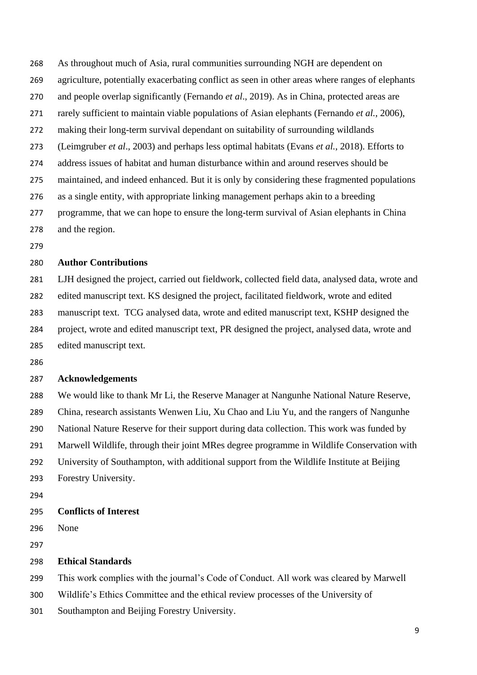As throughout much of Asia, rural communities surrounding NGH are dependent on agriculture, potentially exacerbating conflict as seen in other areas where ranges of elephants and people overlap significantly (Fernando *et al*., 2019). As in China, protected areas are rarely sufficient to maintain viable populations of Asian elephants (Fernando *et al.*, 2006), making their long-term survival dependant on suitability of surrounding wildlands (Leimgruber *et al*., 2003) and perhaps less optimal habitats (Evans *et al.*, 2018). Efforts to address issues of habitat and human disturbance within and around reserves should be maintained, and indeed enhanced. But it is only by considering these fragmented populations as a single entity, with appropriate linking management perhaps akin to a breeding programme, that we can hope to ensure the long-term survival of Asian elephants in China and the region.

### **Author Contributions**

 LJH designed the project, carried out fieldwork, collected field data, analysed data, wrote and edited manuscript text. KS designed the project, facilitated fieldwork, wrote and edited manuscript text. TCG analysed data, wrote and edited manuscript text, KSHP designed the project, wrote and edited manuscript text, PR designed the project, analysed data, wrote and edited manuscript text.

#### **Acknowledgements**

 We would like to thank Mr Li, the Reserve Manager at Nangunhe National Nature Reserve, China, research assistants Wenwen Liu, Xu Chao and Liu Yu, and the rangers of Nangunhe National Nature Reserve for their support during data collection. This work was funded by Marwell Wildlife, through their joint MRes degree programme in Wildlife Conservation with University of Southampton, with additional support from the Wildlife Institute at Beijing Forestry University.

### **Conflicts of Interest**

None

#### **Ethical Standards**

This work complies with the journal's Code of Conduct. All work was cleared by Marwell

Wildlife's Ethics Committee and the ethical review processes of the University of

Southampton and Beijing Forestry University.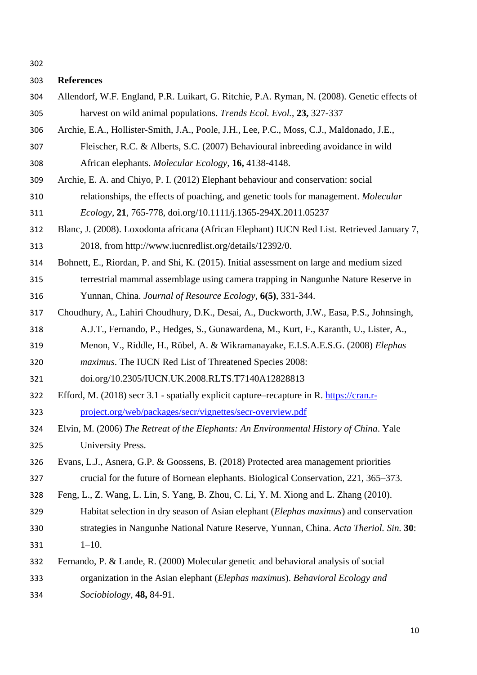## **References**

- Allendorf, W.F. England, P.R. Luikart, G. Ritchie, P.A. Ryman, N. (2008). Genetic effects of harvest on wild animal populations. *Trends Ecol. Evol.*, **23,** 327-337
- Archie, E.A., Hollister-Smith, J.A., Poole, J.H., Lee, P.C., Moss, C.J., Maldonado, J.E.,
- Fleischer, R.C. & Alberts, S.C. (2007) Behavioural inbreeding avoidance in wild African elephants. *Molecular Ecology,* **16,** 4138-4148.
- Archie, E. A. and Chiyo, P. I. (2012) Elephant behaviour and conservation: social
- relationships, the effects of poaching, and genetic tools for management. *Molecular Ecology*, **21**, 765-778, doi.org/10.1111/j.1365-294X.2011.05237
- Blanc, J. (2008). Loxodonta africana (African Elephant) IUCN Red List. Retrieved January 7, 2018, from http://www.iucnredlist.org/details/12392/0.
- Bohnett, E., Riordan, P. and Shi, K. (2015). Initial assessment on large and medium sized
- terrestrial mammal assemblage using camera trapping in Nangunhe Nature Reserve in Yunnan, China. *Journal of Resource Ecology*, **6(5)**, 331-344.
- Choudhury, A., Lahiri Choudhury, D.K., Desai, A., Duckworth, J.W., Easa, P.S., Johnsingh, A.J.T., Fernando, P., Hedges, S., Gunawardena, M., Kurt, F., Karanth, U., Lister, A.,
- Menon, V., Riddle, H., Rübel, A. & Wikramanayake, E.I.S.A.E.S.G. (2008) *Elephas*
- *maximus*. The IUCN Red List of Threatened Species 2008:
- doi.org/10.2305/IUCN.UK.2008.RLTS.T7140A12828813
- Efford, M. (2018) secr 3.1 spatially explicit capture–recapture in R. [https://cran.r-](https://cran.r-project.org/web/packages/secr/vignettes/secr-overview.pdf)[project.org/web/packages/secr/vignettes/secr-overview.pdf](https://cran.r-project.org/web/packages/secr/vignettes/secr-overview.pdf)
- Elvin, M. (2006) *The Retreat of the Elephants: An Environmental History of China*. Yale University Press.
- Evans, L.J., Asnera, G.P. & Goossens, B. (2018) Protected area management priorities crucial for the future of Bornean elephants. Biological Conservation, 221, 365–373.
- Feng, L., Z. Wang, L. Lin, S. Yang, B. Zhou, C. Li, Y. M. Xiong and L. Zhang (2010).
- Habitat selection in dry season of Asian elephant (*Elephas maximus*) and conservation strategies in Nangunhe National Nature Reserve, Yunnan, China. *Acta Theriol. Sin.* **30**: 1–10.
- Fernando, P. & Lande, R. (2000) Molecular genetic and behavioral analysis of social organization in the Asian elephant (*Elephas maximus*). *Behavioral Ecology and Sociobiology,* **48,** 84-91.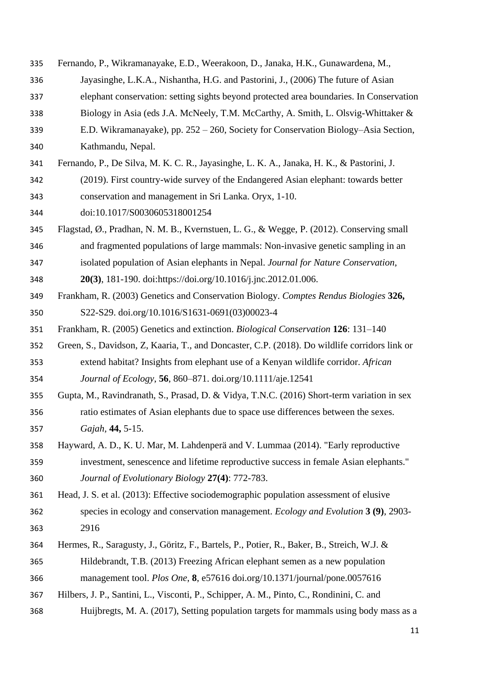- Fernando, P., Wikramanayake, E.D., Weerakoon, D., Janaka, H.K., Gunawardena, M.,
- Jayasinghe, L.K.A., Nishantha, H.G. and Pastorini, J., (2006) The future of Asian
- elephant conservation: setting sights beyond protected area boundaries. In Conservation
- Biology in Asia (eds J.A. McNeely, T.M. McCarthy, A. Smith, L. Olsvig-Whittaker &
- E.D. Wikramanayake), pp. 252 260, Society for Conservation Biology–Asia Section, Kathmandu, Nepal.
- Fernando, P., De Silva, M. K. C. R., Jayasinghe, L. K. A., Janaka, H. K., & Pastorini, J.
- (2019). First country-wide survey of the Endangered Asian elephant: towards better conservation and management in Sri Lanka. Oryx, 1-10.
- doi:10.1017/S0030605318001254
- Flagstad, Ø., Pradhan, N. M. B., Kvernstuen, L. G., & Wegge, P. (2012). Conserving small and fragmented populations of large mammals: Non-invasive genetic sampling in an
- isolated population of Asian elephants in Nepal. *Journal for Nature Conservation*,
- **20(3)**, 181-190. doi:https://doi.org/10.1016/j.jnc.2012.01.006.
- Frankham, R. (2003) Genetics and Conservation Biology. *Comptes Rendus Biologies* **326,** S22-S29. [doi.org/10.1016/S1631-0691\(03\)00023-4](https://doi.org/10.1016/S1631-0691(03)00023-4)
- Frankham, R. (2005) Genetics and extinction. *Biological Conservation* **126**: 131–140
- Green, S., Davidson, Z, Kaaria, T., and Doncaster, C.P. (2018). Do wildlife corridors link or extend habitat? Insights from elephant use of a Kenyan wildlife corridor. *African Journal of Ecology*, **56**, 860–871. doi.org/10.1111/aje.12541
- Gupta, M., Ravindranath, S., Prasad, D. & Vidya, T.N.C. (2016) Short-term variation in sex ratio estimates of Asian elephants due to space use differences between the sexes. *Gajah,* **44,** 5-15.
- Hayward, A. D., K. U. Mar, M. Lahdenperä and V. Lummaa (2014). "Early reproductive investment, senescence and lifetime reproductive success in female Asian elephants."
- *Journal of Evolutionary Biology* **27(4)**: 772-783.
- Head, J. S. et al. (2013): Effective sociodemographic population assessment of elusive
- species in ecology and conservation management. *Ecology and Evolution* **3 (9)**, 2903- 2916
- Hermes, R., Saragusty, J., Göritz, F., Bartels, P., Potier, R., Baker, B., Streich, W.J. &
- Hildebrandt, T.B. (2013) Freezing African elephant semen as a new population
- management tool. *Plos One*, **8**, e57616 doi.org/10.1371/journal/pone.0057616
- Hilbers, J. P., Santini, L., Visconti, P., Schipper, A. M., Pinto, C., Rondinini, C. and
- Huijbregts, M. A. (2017), Setting population targets for mammals using body mass as a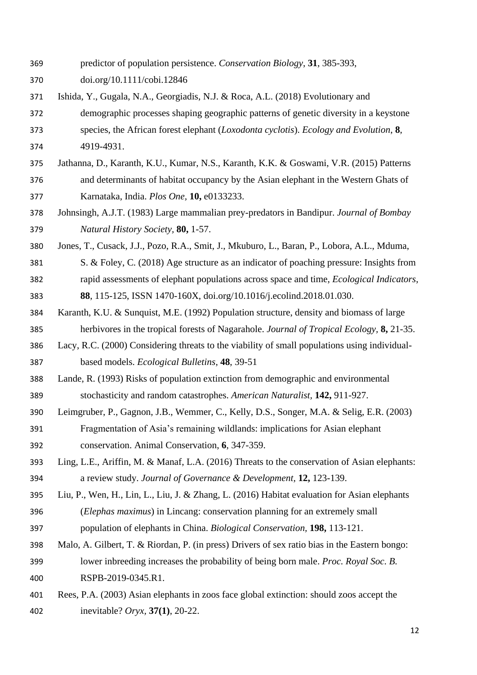- predictor of population persistence. *Conservation Biology*, **31**, 385-393,
- doi.org/10.1111/cobi.12846
- Ishida, Y., Gugala, N.A., Georgiadis, N.J. & Roca, A.L. (2018) Evolutionary and
- demographic processes shaping geographic patterns of genetic diversity in a keystone species, the African forest elephant (*Loxodonta cyclotis*). *Ecology and Evolution*, **8**, 4919-4931.
- Jathanna, D., Karanth, K.U., Kumar, N.S., Karanth, K.K. & Goswami, V.R. (2015) Patterns and determinants of habitat occupancy by the Asian elephant in the Western Ghats of Karnataka, India. *Plos One,* **10,** e0133233.
- Johnsingh, A.J.T. (1983) Large mammalian prey-predators in Bandipur. *Journal of Bombay Natural History Society,* **80,** 1-57.
- Jones, T., Cusack, J.J., Pozo, R.A., Smit, J., Mkuburo, L., Baran, P., Lobora, A.L., Mduma,
- S. & Foley, C. (2018) Age structure as an indicator of poaching pressure: Insights from rapid assessments of elephant populations across space and time, *Ecological Indicators*,
- **88**, 115-125, ISSN 1470-160X, doi.org/10.1016/j.ecolind.2018.01.030.
- Karanth, K.U. & Sunquist, M.E. (1992) Population structure, density and biomass of large herbivores in the tropical forests of Nagarahole. *Journal of Tropical Ecology,* **8,** 21-35.
- Lacy, R.C. (2000) Considering threats to the viability of small populations using individual-based models. *Ecological Bulletins*, **48**, 39-51
- Lande, R. (1993) Risks of population extinction from demographic and environmental stochasticity and random catastrophes. *American Naturalist,* **142,** 911-927.
- Leimgruber, P., Gagnon, J.B., Wemmer, C., Kelly, D.S., Songer, M.A. & Selig, E.R. (2003) Fragmentation of Asia's remaining wildlands: implications for Asian elephant conservation. Animal Conservation, **6**, 347-359.
- Ling, L.E., Ariffin, M. & Manaf, L.A. (2016) Threats to the conservation of Asian elephants: a review study. *Journal of Governance & Development,* **12,** 123-139.
- Liu, P., Wen, H., Lin, L., Liu, J. & Zhang, L. (2016) Habitat evaluation for Asian elephants (*Elephas maximus*) in Lincang: conservation planning for an extremely small
- population of elephants in China. *Biological Conservation,* **198,** 113-121.
- Malo, A. Gilbert, T. & Riordan, P. (in press) Drivers of sex ratio bias in the Eastern bongo: lower inbreeding increases the probability of being born male. *Proc. Royal Soc. B.* RSPB-2019-0345.R1.
- Rees, P.A. (2003) Asian elephants in zoos face global extinction: should zoos accept the inevitable? *Oryx,* **37(1)**, 20-22.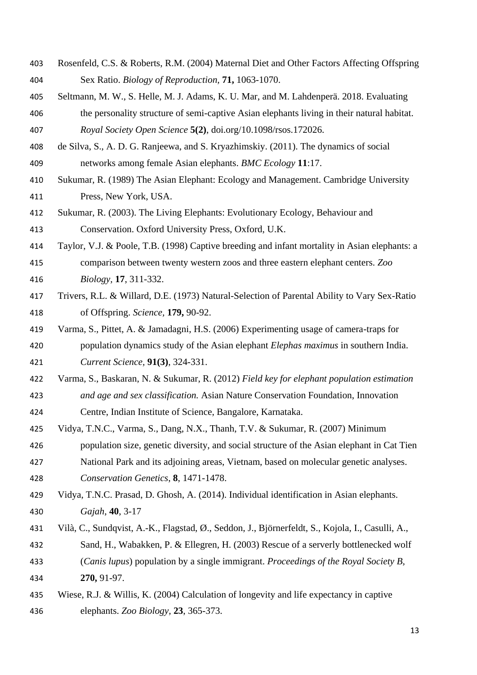- Rosenfeld, C.S. & Roberts, R.M. (2004) Maternal Diet and Other Factors Affecting Offspring Sex Ratio. *Biology of Reproduction,* **71,** 1063-1070.
- Seltmann, M. W., S. Helle, M. J. Adams, K. U. Mar, and M. Lahdenperä. 2018. Evaluating the personality structure of semi-captive Asian elephants living in their natural habitat. *Royal Society Open Science* **5(2)**, doi.org/10.1098/rsos.172026.
- de Silva, S., A. D. G. Ranjeewa, and S. Kryazhimskiy. (2011). The dynamics of social networks among female Asian elephants. *BMC Ecology* **11**:17.
- Sukumar, R. (1989) The Asian Elephant: Ecology and Management. Cambridge University Press, New York, USA.
- Sukumar, R. (2003). The Living Elephants: Evolutionary Ecology, Behaviour and Conservation. Oxford University Press, Oxford, U.K.
- Taylor, V.J. & Poole, T.B. (1998) Captive breeding and infant mortality in Asian elephants: a
- comparison between twenty western zoos and three eastern elephant centers. *Zoo Biology,* **17**, 311-332.
- Trivers, R.L. & Willard, D.E. (1973) Natural-Selection of Parental Ability to Vary Sex-Ratio of Offspring. *Science,* **179,** 90-92.
- Varma, S., Pittet, A. & Jamadagni, H.S. (2006) Experimenting usage of camera-traps for population dynamics study of the Asian elephant *Elephas maximus* in southern India. *Current Science,* **91(3)**, 324-331.
- Varma, S., Baskaran, N. & Sukumar, R. (2012) *Field key for elephant population estimation and age and sex classification.* Asian Nature Conservation Foundation, Innovation
- Centre, Indian Institute of Science, Bangalore, Karnataka.
- Vidya, T.N.C., Varma, S., Dang, N.X., Thanh, T.V. & Sukumar, R. (2007) Minimum population size, genetic diversity, and social structure of the Asian elephant in Cat Tien
- National Park and its adjoining areas, Vietnam, based on molecular genetic analyses. *Conservation Genetics*, **8**, 1471-1478.
- Vidya, T.N.C. Prasad, D. Ghosh, A. (2014). Individual identification in Asian elephants. *Gajah*, **40**, 3-17
- Vilà, C., Sundqvist, A.-K., Flagstad, Ø., Seddon, J., Björnerfeldt, S., Kojola, I., Casulli, A., Sand, H., Wabakken, P. & Ellegren, H. (2003) Rescue of a serverly bottlenecked wolf (*Canis lupus*) population by a single immigrant. *Proceedings of the Royal Society B,*
- **270,** 91-97.
- Wiese, R.J. & Willis, K. (2004) Calculation of longevity and life expectancy in captive elephants. *Zoo Biology,* **23**, 365-373.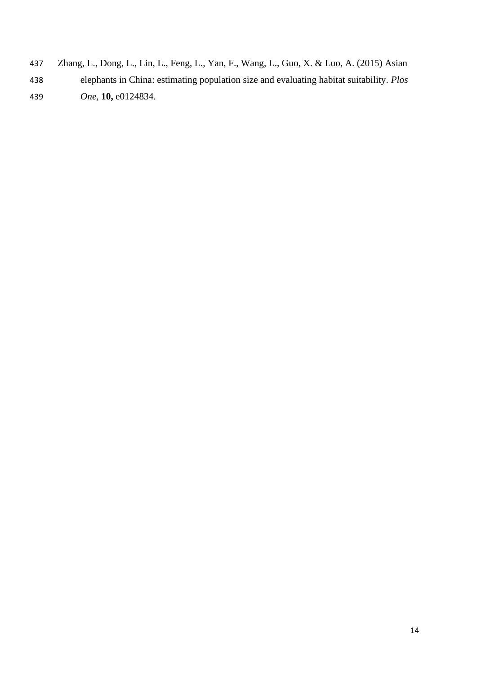- Zhang, L., Dong, L., Lin, L., Feng, L., Yan, F., Wang, L., Guo, X. & Luo, A. (2015) Asian
- elephants in China: estimating population size and evaluating habitat suitability. *Plos One,* **10,** e0124834.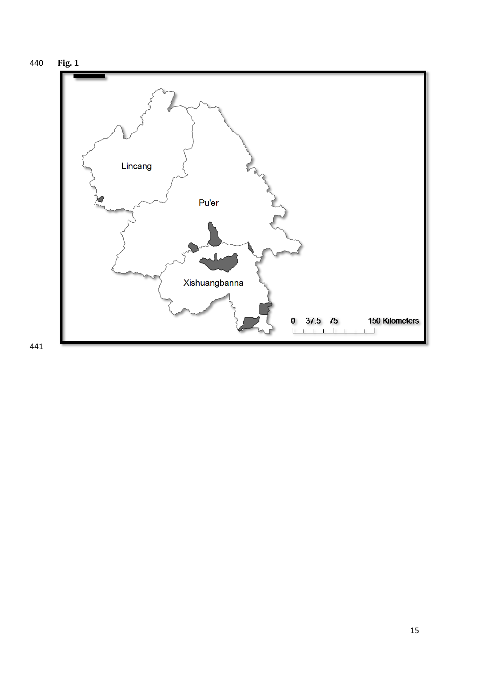

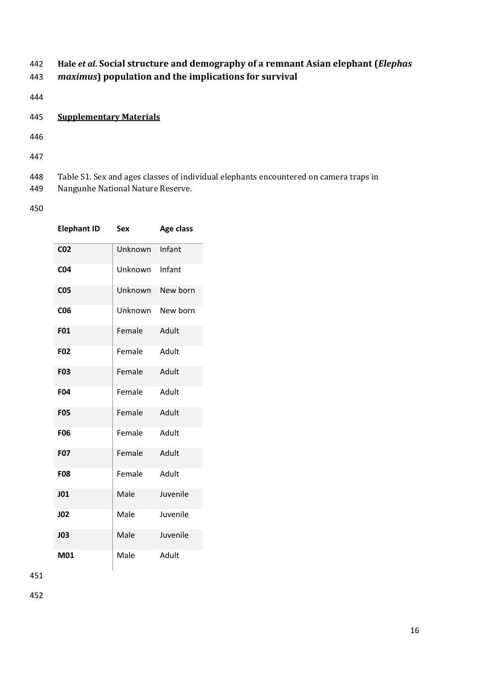# 442 **Hale** *et al***. Social structure and demography of a remnant Asian elephant (***Elephas*  443 *maximus***) population and the implications for survival**

- 444
- 445 **Supplementary Materials**
- 446
- 447
- 448 Table S1. Sex and ages classes of individual elephants encountered on camera traps in 449 Nangunhe National Nature Reserve.
- 450

| <b>Elephant ID</b> | <b>Sex</b> | Age class |
|--------------------|------------|-----------|
| CO <sub>2</sub>    | Unknown    | Infant    |
| <b>CO4</b>         | Unknown    | Infant    |
| <b>CO5</b>         | Unknown    | New born  |
| C <sub>06</sub>    | Unknown    | New born  |
| F01                | Female     | Adult     |
| F02                | Female     | Adult     |
| <b>F03</b>         | Female     | Adult     |
| F04                | Female     | Adult     |
| <b>F05</b>         | Female     | Adult     |
| <b>F06</b>         | Female     | Adult     |
| <b>F07</b>         | Female     | Adult     |
| <b>F08</b>         | Female     | Adult     |
| J <sub>01</sub>    | Male       | Juvenile  |
| <b>JO2</b>         | Male       | Juvenile  |
| <b>JO3</b>         | Male       | Juvenile  |
| M01                | Male       | Adult     |

451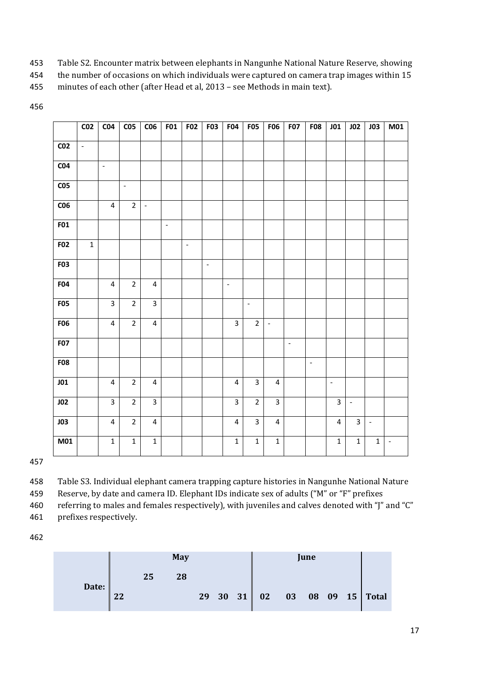- 453 Table S2. Encounter matrix between elephants in Nangunhe National Nature Reserve, showing
- 454 the number of occasions on which individuals were captured on camera trap images within 15
- 455 minutes of each other (after Head et al, 2013 see Methods in main text).

|                 | $\overline{CO2}$    | CO <sub>4</sub>         | C <sub>05</sub>          | C <sub>06</sub>         | <b>F01</b>     | <b>F02</b> | <b>F03</b>               | ${\bf F04}$             | <b>F05</b>               | <b>F06</b>               | <b>F07</b>               | <b>F08</b> | JO1                     | JO2          | <b>JO3</b>     | M01            |
|-----------------|---------------------|-------------------------|--------------------------|-------------------------|----------------|------------|--------------------------|-------------------------|--------------------------|--------------------------|--------------------------|------------|-------------------------|--------------|----------------|----------------|
| CO <sub>2</sub> | $\bar{\mathcal{L}}$ |                         |                          |                         |                |            |                          |                         |                          |                          |                          |            |                         |              |                |                |
| CO <sub>4</sub> |                     | $\bar{\phantom{a}}$     |                          |                         |                |            |                          |                         |                          |                          |                          |            |                         |              |                |                |
| C <sub>05</sub> |                     |                         | $\overline{\phantom{a}}$ |                         |                |            |                          |                         |                          |                          |                          |            |                         |              |                |                |
| C <sub>06</sub> |                     | $\overline{\mathbf{4}}$ | $\overline{2}$           | $\blacksquare$          |                |            |                          |                         |                          |                          |                          |            |                         |              |                |                |
| F01             |                     |                         |                          |                         | $\blacksquare$ |            |                          |                         |                          |                          |                          |            |                         |              |                |                |
| <b>F02</b>      | $\mathbf 1$         |                         |                          |                         |                | $\Box$     |                          |                         |                          |                          |                          |            |                         |              |                |                |
| F03             |                     |                         |                          |                         |                |            | $\overline{\phantom{a}}$ |                         |                          |                          |                          |            |                         |              |                |                |
| <b>F04</b>      |                     | $\overline{4}$          | $\overline{2}$           | $\overline{4}$          |                |            |                          | $\Box$                  |                          |                          |                          |            |                         |              |                |                |
| F05             |                     | $\overline{3}$          | $\overline{2}$           | $\overline{3}$          |                |            |                          |                         | $\overline{\phantom{a}}$ |                          |                          |            |                         |              |                |                |
| <b>F06</b>      |                     | $\overline{4}$          | $\overline{2}$           | $\overline{\mathbf{4}}$ |                |            |                          | $\overline{3}$          | $\overline{2}$           | $\overline{\phantom{a}}$ |                          |            |                         |              |                |                |
| F07             |                     |                         |                          |                         |                |            |                          |                         |                          |                          | $\overline{\phantom{a}}$ |            |                         |              |                |                |
| <b>F08</b>      |                     |                         |                          |                         |                |            |                          |                         |                          |                          |                          | $\Box$     |                         |              |                |                |
| JO1             |                     | $\overline{4}$          | $\overline{2}$           | $\overline{\mathbf{4}}$ |                |            |                          | $\overline{\mathbf{4}}$ | $\overline{3}$           | $\overline{\mathbf{4}}$  |                          |            | $\mathbb{L}$            |              |                |                |
| JO2             |                     | $\overline{3}$          | $\overline{2}$           | $\overline{3}$          |                |            |                          | $\overline{3}$          | $\overline{2}$           | $\overline{\mathbf{3}}$  |                          |            | $\overline{\mathbf{3}}$ | $\sim$       |                |                |
| J03             |                     | $\overline{\mathbf{4}}$ | $\overline{2}$           | $\overline{\mathbf{4}}$ |                |            |                          | $\overline{4}$          | $\overline{\mathbf{3}}$  | $\overline{4}$           |                          |            | $\overline{\mathbf{4}}$ | 3            | $\mathbb{L}^2$ |                |
| M <sub>01</sub> |                     | $\mathbf 1$             | $\mathbf 1$              | $\mathbf 1$             |                |            |                          | $\mathbf 1$             | $\mathbf 1$              | $\mathbf 1$              |                          |            | $\mathbf 1$             | $\mathbf{1}$ | $\mathbf 1$    | $\blacksquare$ |

458 Table S3. Individual elephant camera trapping capture histories in Nangunhe National Nature

459 Reserve, by date and camera ID. Elephant IDs indicate sex of adults ("M" or "F" prefixes

460 referring to males and females respectively), with juveniles and calves denoted with "J" and "C"

461 prefixes respectively.

|       |    |    | <b>May</b> |  |  |  |  |  |                               |
|-------|----|----|------------|--|--|--|--|--|-------------------------------|
|       |    | 25 | 28         |  |  |  |  |  |                               |
| Date: | フフ |    |            |  |  |  |  |  | 29 30 31 02 03 08 09 15 Total |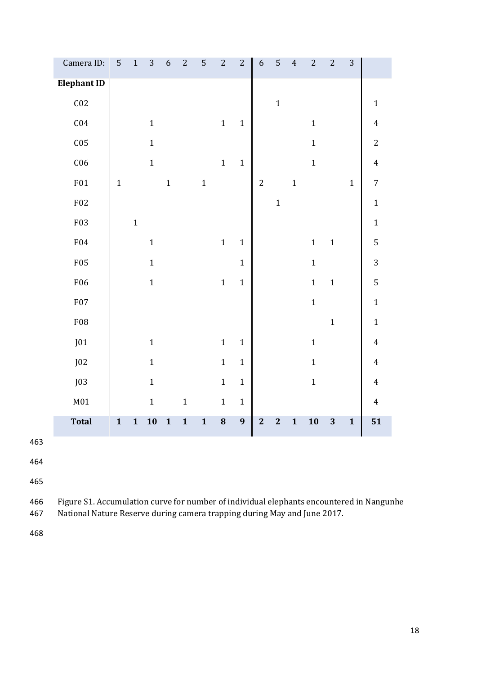| Camera ID:         | $\mathsf S$  | $\mathbf 1$  | 3           | $\boldsymbol{6}$ | $\overline{c}$ | 5            | $\sqrt{2}$   | $\sqrt{2}$       | $\boldsymbol{6}$        | 5                       | $\overline{4}$ | $\sqrt{2}$   | $\sqrt{2}$   | $\sqrt{3}$   |                         |
|--------------------|--------------|--------------|-------------|------------------|----------------|--------------|--------------|------------------|-------------------------|-------------------------|----------------|--------------|--------------|--------------|-------------------------|
| <b>Elephant ID</b> |              |              |             |                  |                |              |              |                  |                         |                         |                |              |              |              |                         |
| C <sub>02</sub>    |              |              |             |                  |                |              |              |                  |                         | $\mathbf{1}$            |                |              |              |              | $\mathbf{1}$            |
| C <sub>04</sub>    |              |              | $\mathbf 1$ |                  |                |              | $\mathbf 1$  | $\mathbf{1}$     |                         |                         |                | $\mathbf 1$  |              |              | $\overline{\mathbf{4}}$ |
| C <sub>05</sub>    |              |              | $\mathbf 1$ |                  |                |              |              |                  |                         |                         |                | $\mathbf{1}$ |              |              | $\overline{c}$          |
| C <sub>06</sub>    |              |              | $\mathbf 1$ |                  |                |              | $\mathbf 1$  | $\mathbf{1}$     |                         |                         |                | $\mathbf{1}$ |              |              | $\overline{4}$          |
| F01                | $\mathbf{1}$ |              |             | $\mathbf{1}$     |                | $\mathbf{1}$ |              |                  | $\overline{2}$          |                         | $\mathbf 1$    |              |              | $\mathbf{1}$ | $\overline{7}$          |
| ${\rm F}02$        |              |              |             |                  |                |              |              |                  |                         | $\mathbf{1}$            |                |              |              |              | $\mathbf 1$             |
| F03                |              | $\mathbf{1}$ |             |                  |                |              |              |                  |                         |                         |                |              |              |              | $\mathbf 1$             |
| ${\rm F}04$        |              |              | $\mathbf 1$ |                  |                |              | $\mathbf{1}$ | $\mathbf{1}$     |                         |                         |                | $\mathbf 1$  | $\mathbf{1}$ |              | 5                       |
| F05                |              |              | $\mathbf 1$ |                  |                |              |              | $\mathbf{1}$     |                         |                         |                | $\mathbf 1$  |              |              | 3                       |
| ${\rm F06}$        |              |              | $\mathbf 1$ |                  |                |              | $\mathbf{1}$ | $\mathbf{1}$     |                         |                         |                | $\mathbf 1$  | $\mathbf{1}$ |              | $\sqrt{5}$              |
| <b>F07</b>         |              |              |             |                  |                |              |              |                  |                         |                         |                | $\mathbf 1$  |              |              | $\mathbf 1$             |
| ${\rm F}08$        |              |              |             |                  |                |              |              |                  |                         |                         |                |              | $\mathbf 1$  |              | $\mathbf{1}$            |
| J01                |              |              | $\mathbf 1$ |                  |                |              | $\mathbf 1$  | $\mathbf{1}$     |                         |                         |                | $1\,$        |              |              | $\overline{4}$          |
| J02                |              |              | $\mathbf 1$ |                  |                |              | $\mathbf 1$  | $\mathbf{1}$     |                         |                         |                | $\mathbf 1$  |              |              | $\overline{4}$          |
| J03                |              |              | $\mathbf 1$ |                  |                |              | $\mathbf{1}$ | $\mathbf{1}$     |                         |                         |                | $\mathbf 1$  |              |              | $\overline{4}$          |
| M <sub>01</sub>    |              |              | $\mathbf 1$ |                  | $\mathbf{1}$   |              | $\mathbf 1$  | $\mathbf{1}$     |                         |                         |                |              |              |              | $\overline{4}$          |
| <b>Total</b>       | $\mathbf{1}$ | $\mathbf{1}$ | 10          | $\mathbf{1}$     | $\mathbf{1}$   | $\mathbf{1}$ | $\bf{8}$     | $\boldsymbol{9}$ | $\overline{\mathbf{2}}$ | $\overline{\mathbf{2}}$ | $\mathbf{1}$   | 10           | 3            | $\mathbf{1}$ | 51                      |

464

465

466 Figure S1. Accumulation curve for number of individual elephants encountered in Nangunhe

467 National Nature Reserve during camera trapping during May and June 2017.